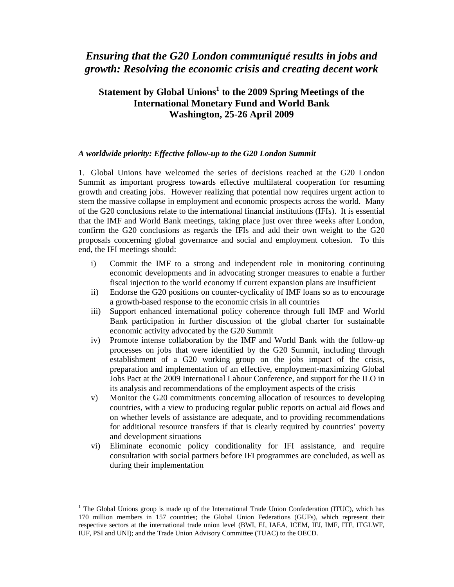# *Ensuring that the G20 London communiqué results in jobs and growth: Resolving the economic crisis and creating decent work*

# **Statement by Global Unions<sup>1</sup> to the 2009 Spring Meetings of the International Monetary Fund and World Bank Washington, 25-26 April 2009**

#### *A worldwide priority: Effective follow-up to the G20 London Summit*

1. Global Unions have welcomed the series of decisions reached at the G20 London Summit as important progress towards effective multilateral cooperation for resuming growth and creating jobs. However realizing that potential now requires urgent action to stem the massive collapse in employment and economic prospects across the world. Many of the G20 conclusions relate to the international financial institutions (IFIs). It is essential that the IMF and World Bank meetings, taking place just over three weeks after London, confirm the G20 conclusions as regards the IFIs and add their own weight to the G20 proposals concerning global governance and social and employment cohesion. To this end, the IFI meetings should:

- i) Commit the IMF to a strong and independent role in monitoring continuing economic developments and in advocating stronger measures to enable a further fiscal injection to the world economy if current expansion plans are insufficient
- ii) Endorse the G20 positions on counter-cyclicality of IMF loans so as to encourage a growth-based response to the economic crisis in all countries
- iii) Support enhanced international policy coherence through full IMF and World Bank participation in further discussion of the global charter for sustainable economic activity advocated by the G20 Summit
- iv) Promote intense collaboration by the IMF and World Bank with the follow-up processes on jobs that were identified by the G20 Summit, including through establishment of a G20 working group on the jobs impact of the crisis, preparation and implementation of an effective, employment-maximizing Global Jobs Pact at the 2009 International Labour Conference, and support for the ILO in its analysis and recommendations of the employment aspects of the crisis
- v) Monitor the G20 commitments concerning allocation of resources to developing countries, with a view to producing regular public reports on actual aid flows and on whether levels of assistance are adequate, and to providing recommendations for additional resource transfers if that is clearly required by countries' poverty and development situations
- vi) Eliminate economic policy conditionality for IFI assistance, and require consultation with social partners before IFI programmes are concluded, as well as during their implementation

 $\overline{a}$ 

<sup>&</sup>lt;sup>1</sup> The Global Unions group is made up of the International Trade Union Confederation (ITUC), which has 170 million members in 157 countries; the Global Union Federations (GUFs), which represent their respective sectors at the international trade union level (BWI, EI, IAEA, ICEM, IFJ, IMF, ITF, ITGLWF, IUF, PSI and UNI); and the Trade Union Advisory Committee (TUAC) to the OECD.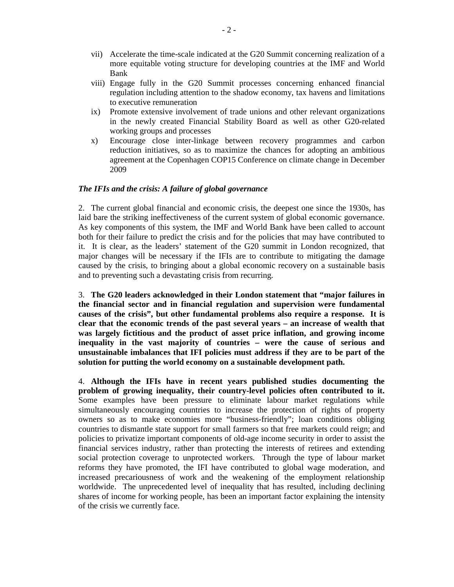- vii) Accelerate the time-scale indicated at the G20 Summit concerning realization of a more equitable voting structure for developing countries at the IMF and World Bank
- viii) Engage fully in the G20 Summit processes concerning enhanced financial regulation including attention to the shadow economy, tax havens and limitations to executive remuneration
- ix) Promote extensive involvement of trade unions and other relevant organizations in the newly created Financial Stability Board as well as other G20-related working groups and processes
- x) Encourage close inter-linkage between recovery programmes and carbon reduction initiatives, so as to maximize the chances for adopting an ambitious agreement at the Copenhagen COP15 Conference on climate change in December 2009

# *The IFIs and the crisis: A failure of global governance*

2. The current global financial and economic crisis, the deepest one since the 1930s, has laid bare the striking ineffectiveness of the current system of global economic governance. As key components of this system, the IMF and World Bank have been called to account both for their failure to predict the crisis and for the policies that may have contributed to it. It is clear, as the leaders' statement of the G20 summit in London recognized, that major changes will be necessary if the IFIs are to contribute to mitigating the damage caused by the crisis, to bringing about a global economic recovery on a sustainable basis and to preventing such a devastating crisis from recurring.

3. **The G20 leaders acknowledged in their London statement that "major failures in the financial sector and in financial regulation and supervision were fundamental causes of the crisis", but other fundamental problems also require a response. It is clear that the economic trends of the past several years – an increase of wealth that was largely fictitious and the product of asset price inflation, and growing income inequality in the vast majority of countries – were the cause of serious and unsustainable imbalances that IFI policies must address if they are to be part of the solution for putting the world economy on a sustainable development path.** 

4. **Although the IFIs have in recent years published studies documenting the problem of growing inequality, their country-level policies often contributed to it.** Some examples have been pressure to eliminate labour market regulations while simultaneously encouraging countries to increase the protection of rights of property owners so as to make economies more "business-friendly"; loan conditions obliging countries to dismantle state support for small farmers so that free markets could reign; and policies to privatize important components of old-age income security in order to assist the financial services industry, rather than protecting the interests of retirees and extending social protection coverage to unprotected workers. Through the type of labour market reforms they have promoted, the IFI have contributed to global wage moderation, and increased precariousness of work and the weakening of the employment relationship worldwide. The unprecedented level of inequality that has resulted, including declining shares of income for working people, has been an important factor explaining the intensity of the crisis we currently face.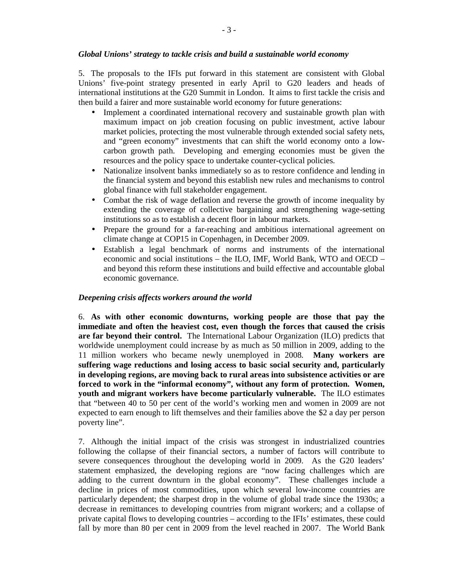#### *Global Unions' strategy to tackle crisis and build a sustainable world economy*

5. The proposals to the IFIs put forward in this statement are consistent with Global Unions' five-point strategy presented in early April to G20 leaders and heads of international institutions at the G20 Summit in London. It aims to first tackle the crisis and then build a fairer and more sustainable world economy for future generations:

- Implement a coordinated international recovery and sustainable growth plan with maximum impact on job creation focusing on public investment, active labour market policies, protecting the most vulnerable through extended social safety nets, and "green economy" investments that can shift the world economy onto a lowcarbon growth path. Developing and emerging economies must be given the resources and the policy space to undertake counter-cyclical policies.
- Nationalize insolvent banks immediately so as to restore confidence and lending in the financial system and beyond this establish new rules and mechanisms to control global finance with full stakeholder engagement.
- Combat the risk of wage deflation and reverse the growth of income inequality by extending the coverage of collective bargaining and strengthening wage-setting institutions so as to establish a decent floor in labour markets.
- Prepare the ground for a far-reaching and ambitious international agreement on climate change at COP15 in Copenhagen, in December 2009.
- Establish a legal benchmark of norms and instruments of the international economic and social institutions – the ILO, IMF, World Bank, WTO and OECD – and beyond this reform these institutions and build effective and accountable global economic governance.

#### *Deepening crisis affects workers around the world*

6. **As with other economic downturns, working people are those that pay the immediate and often the heaviest cost, even though the forces that caused the crisis are far beyond their control.** The International Labour Organization (ILO) predicts that worldwide unemployment could increase by as much as 50 million in 2009, adding to the 11 million workers who became newly unemployed in 2008. **Many workers are suffering wage reductions and losing access to basic social security and, particularly in developing regions, are moving back to rural areas into subsistence activities or are forced to work in the "informal economy", without any form of protection. Women, youth and migrant workers have become particularly vulnerable.** The ILO estimates that "between 40 to 50 per cent of the world's working men and women in 2009 are not expected to earn enough to lift themselves and their families above the \$2 a day per person poverty line".

7. Although the initial impact of the crisis was strongest in industrialized countries following the collapse of their financial sectors, a number of factors will contribute to severe consequences throughout the developing world in 2009. As the G20 leaders' statement emphasized, the developing regions are "now facing challenges which are adding to the current downturn in the global economy". These challenges include a decline in prices of most commodities, upon which several low-income countries are particularly dependent; the sharpest drop in the volume of global trade since the 1930s; a decrease in remittances to developing countries from migrant workers; and a collapse of private capital flows to developing countries – according to the IFIs' estimates, these could fall by more than 80 per cent in 2009 from the level reached in 2007. The World Bank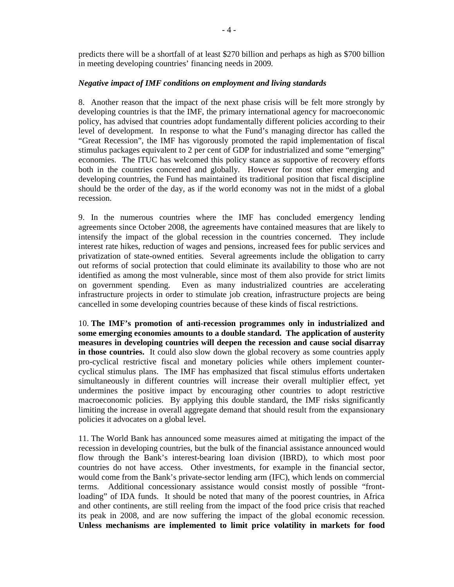predicts there will be a shortfall of at least \$270 billion and perhaps as high as \$700 billion in meeting developing countries' financing needs in 2009.

# *Negative impact of IMF conditions on employment and living standards*

8. Another reason that the impact of the next phase crisis will be felt more strongly by developing countries is that the IMF, the primary international agency for macroeconomic policy, has advised that countries adopt fundamentally different policies according to their level of development. In response to what the Fund's managing director has called the "Great Recession", the IMF has vigorously promoted the rapid implementation of fiscal stimulus packages equivalent to 2 per cent of GDP for industrialized and some "emerging" economies. The ITUC has welcomed this policy stance as supportive of recovery efforts both in the countries concerned and globally. However for most other emerging and developing countries, the Fund has maintained its traditional position that fiscal discipline should be the order of the day, as if the world economy was not in the midst of a global recession.

9. In the numerous countries where the IMF has concluded emergency lending agreements since October 2008, the agreements have contained measures that are likely to intensify the impact of the global recession in the countries concerned. They include interest rate hikes, reduction of wages and pensions, increased fees for public services and privatization of state-owned entities. Several agreements include the obligation to carry out reforms of social protection that could eliminate its availability to those who are not identified as among the most vulnerable, since most of them also provide for strict limits on government spending. Even as many industrialized countries are accelerating infrastructure projects in order to stimulate job creation, infrastructure projects are being cancelled in some developing countries because of these kinds of fiscal restrictions.

10. **The IMF's promotion of anti-recession programmes only in industrialized and some emerging economies amounts to a double standard. The application of austerity measures in developing countries will deepen the recession and cause social disarray**  in those countries. It could also slow down the global recovery as some countries apply pro-cyclical restrictive fiscal and monetary policies while others implement countercyclical stimulus plans. The IMF has emphasized that fiscal stimulus efforts undertaken simultaneously in different countries will increase their overall multiplier effect, yet undermines the positive impact by encouraging other countries to adopt restrictive macroeconomic policies. By applying this double standard, the IMF risks significantly limiting the increase in overall aggregate demand that should result from the expansionary policies it advocates on a global level.

11. The World Bank has announced some measures aimed at mitigating the impact of the recession in developing countries, but the bulk of the financial assistance announced would flow through the Bank's interest-bearing loan division (IBRD), to which most poor countries do not have access. Other investments, for example in the financial sector, would come from the Bank's private-sector lending arm (IFC), which lends on commercial terms. Additional concessionary assistance would consist mostly of possible "frontloading" of IDA funds. It should be noted that many of the poorest countries, in Africa and other continents, are still reeling from the impact of the food price crisis that reached its peak in 2008, and are now suffering the impact of the global economic recession. **Unless mechanisms are implemented to limit price volatility in markets for food**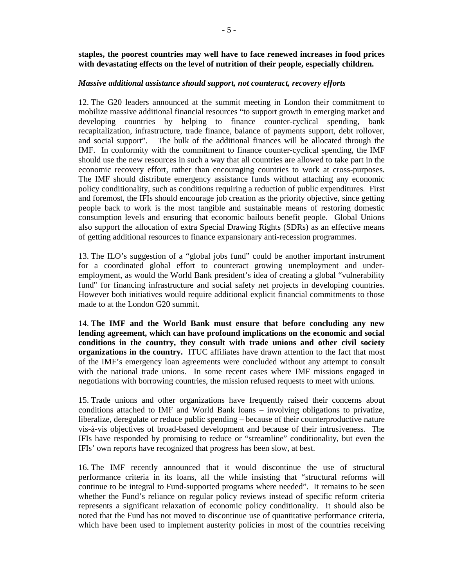**staples, the poorest countries may well have to face renewed increases in food prices with devastating effects on the level of nutrition of their people, especially children.**

#### *Massive additional assistance should support, not counteract, recovery efforts*

12. The G20 leaders announced at the summit meeting in London their commitment to mobilize massive additional financial resources "to support growth in emerging market and developing countries by helping to finance counter-cyclical spending, bank recapitalization, infrastructure, trade finance, balance of payments support, debt rollover, and social support". The bulk of the additional finances will be allocated through the IMF. In conformity with the commitment to finance counter-cyclical spending, the IMF should use the new resources in such a way that all countries are allowed to take part in the economic recovery effort, rather than encouraging countries to work at cross-purposes. The IMF should distribute emergency assistance funds without attaching any economic policy conditionality, such as conditions requiring a reduction of public expenditures. First and foremost, the IFIs should encourage job creation as the priority objective, since getting people back to work is the most tangible and sustainable means of restoring domestic consumption levels and ensuring that economic bailouts benefit people. Global Unions also support the allocation of extra Special Drawing Rights (SDRs) as an effective means of getting additional resources to finance expansionary anti-recession programmes.

13. The ILO's suggestion of a "global jobs fund" could be another important instrument for a coordinated global effort to counteract growing unemployment and underemployment, as would the World Bank president's idea of creating a global "vulnerability fund" for financing infrastructure and social safety net projects in developing countries. However both initiatives would require additional explicit financial commitments to those made to at the London G20 summit.

14. **The IMF and the World Bank must ensure that before concluding any new lending agreement, which can have profound implications on the economic and social conditions in the country, they consult with trade unions and other civil society organizations in the country.** ITUC affiliates have drawn attention to the fact that most of the IMF's emergency loan agreements were concluded without any attempt to consult with the national trade unions. In some recent cases where IMF missions engaged in negotiations with borrowing countries, the mission refused requests to meet with unions.

15. Trade unions and other organizations have frequently raised their concerns about conditions attached to IMF and World Bank loans – involving obligations to privatize, liberalize, deregulate or reduce public spending – because of their counterproductive nature vis-à-vis objectives of broad-based development and because of their intrusiveness. The IFIs have responded by promising to reduce or "streamline" conditionality, but even the IFIs' own reports have recognized that progress has been slow, at best.

16. The IMF recently announced that it would discontinue the use of structural performance criteria in its loans, all the while insisting that "structural reforms will continue to be integral to Fund-supported programs where needed". It remains to be seen whether the Fund's reliance on regular policy reviews instead of specific reform criteria represents a significant relaxation of economic policy conditionality. It should also be noted that the Fund has not moved to discontinue use of quantitative performance criteria, which have been used to implement austerity policies in most of the countries receiving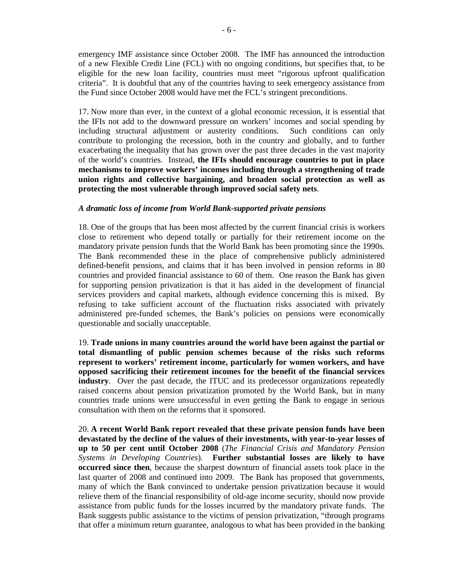emergency IMF assistance since October 2008. The IMF has announced the introduction of a new Flexible Credit Line (FCL) with no ongoing conditions, but specifies that, to be eligible for the new loan facility, countries must meet "rigorous upfront qualification criteria". It is doubtful that any of the countries having to seek emergency assistance from the Fund since October 2008 would have met the FCL's stringent preconditions.

17. Now more than ever, in the context of a global economic recession, it is essential that the IFIs not add to the downward pressure on workers' incomes and social spending by including structural adjustment or austerity conditions. Such conditions can only contribute to prolonging the recession, both in the country and globally, and to further exacerbating the inequality that has grown over the past three decades in the vast majority of the world's countries. Instead, **the IFIs should encourage countries to put in place mechanisms to improve workers' incomes including through a strengthening of trade union rights and collective bargaining, and broaden social protection as well as protecting the most vulnerable through improved social safety nets**.

#### *A dramatic loss of income from World Bank-supported private pensions*

18. One of the groups that has been most affected by the current financial crisis is workers close to retirement who depend totally or partially for their retirement income on the mandatory private pension funds that the World Bank has been promoting since the 1990s. The Bank recommended these in the place of comprehensive publicly administered defined-benefit pensions, and claims that it has been involved in pension reforms in 80 countries and provided financial assistance to 60 of them. One reason the Bank has given for supporting pension privatization is that it has aided in the development of financial services providers and capital markets, although evidence concerning this is mixed. By refusing to take sufficient account of the fluctuation risks associated with privately administered pre-funded schemes, the Bank's policies on pensions were economically questionable and socially unacceptable.

19. **Trade unions in many countries around the world have been against the partial or total dismantling of public pension schemes because of the risks such reforms represent to workers' retirement income, particularly for women workers, and have opposed sacrificing their retirement incomes for the benefit of the financial services industry**. Over the past decade, the ITUC and its predecessor organizations repeatedly raised concerns about pension privatization promoted by the World Bank, but in many countries trade unions were unsuccessful in even getting the Bank to engage in serious consultation with them on the reforms that it sponsored.

20. **A recent World Bank report revealed that these private pension funds have been devastated by the decline of the values of their investments, with year-to-year losses of up to 50 per cent until October 2008** (*The Financial Crisis and Mandatory Pension Systems in Developing Countries*). **Further substantial losses are likely to have occurred since then**, because the sharpest downturn of financial assets took place in the last quarter of 2008 and continued into 2009. The Bank has proposed that governments, many of which the Bank convinced to undertake pension privatization because it would relieve them of the financial responsibility of old-age income security, should now provide assistance from public funds for the losses incurred by the mandatory private funds. The Bank suggests public assistance to the victims of pension privatization, "through programs that offer a minimum return guarantee, analogous to what has been provided in the banking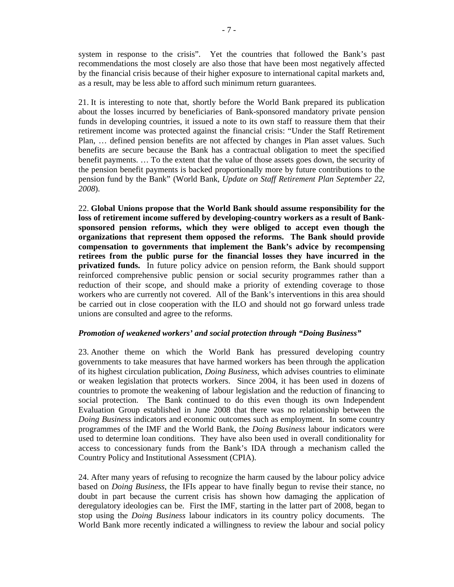system in response to the crisis". Yet the countries that followed the Bank's past recommendations the most closely are also those that have been most negatively affected by the financial crisis because of their higher exposure to international capital markets and, as a result, may be less able to afford such minimum return guarantees.

21. It is interesting to note that, shortly before the World Bank prepared its publication about the losses incurred by beneficiaries of Bank-sponsored mandatory private pension funds in developing countries, it issued a note to its own staff to reassure them that their retirement income was protected against the financial crisis: "Under the Staff Retirement Plan, … defined pension benefits are not affected by changes in Plan asset values. Such benefits are secure because the Bank has a contractual obligation to meet the specified benefit payments. … To the extent that the value of those assets goes down, the security of the pension benefit payments is backed proportionally more by future contributions to the pension fund by the Bank" (World Bank, *Update on Staff Retirement Plan September 22, 2008*).

22. **Global Unions propose that the World Bank should assume responsibility for the loss of retirement income suffered by developing-country workers as a result of Banksponsored pension reforms, which they were obliged to accept even though the organizations that represent them opposed the reforms. The Bank should provide compensation to governments that implement the Bank's advice by recompensing retirees from the public purse for the financial losses they have incurred in the privatized funds.** In future policy advice on pension reform, the Bank should support reinforced comprehensive public pension or social security programmes rather than a reduction of their scope, and should make a priority of extending coverage to those workers who are currently not covered. All of the Bank's interventions in this area should be carried out in close cooperation with the ILO and should not go forward unless trade unions are consulted and agree to the reforms.

# *Promotion of weakened workers' and social protection through "Doing Business"*

23. Another theme on which the World Bank has pressured developing country governments to take measures that have harmed workers has been through the application of its highest circulation publication, *Doing Business*, which advises countries to eliminate or weaken legislation that protects workers. Since 2004, it has been used in dozens of countries to promote the weakening of labour legislation and the reduction of financing to social protection. The Bank continued to do this even though its own Independent Evaluation Group established in June 2008 that there was no relationship between the *Doing Business* indicators and economic outcomes such as employment. In some country programmes of the IMF and the World Bank, the *Doing Business* labour indicators were used to determine loan conditions. They have also been used in overall conditionality for access to concessionary funds from the Bank's IDA through a mechanism called the Country Policy and Institutional Assessment (CPIA).

24. After many years of refusing to recognize the harm caused by the labour policy advice based on *Doing Business*, the IFIs appear to have finally begun to revise their stance, no doubt in part because the current crisis has shown how damaging the application of deregulatory ideologies can be. First the IMF, starting in the latter part of 2008, began to stop using the *Doing Business* labour indicators in its country policy documents. The World Bank more recently indicated a willingness to review the labour and social policy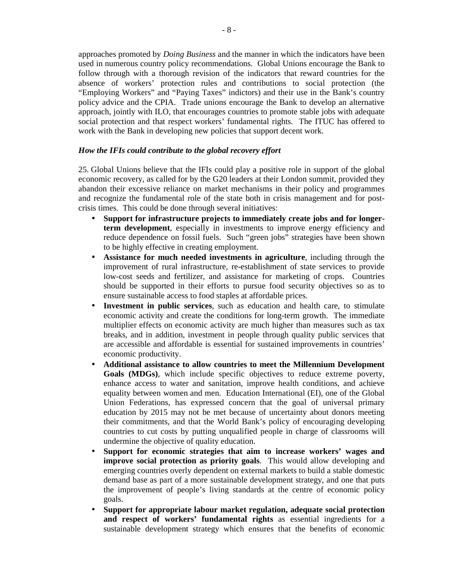approaches promoted by *Doing Business* and the manner in which the indicators have been used in numerous country policy recommendations. Global Unions encourage the Bank to follow through with a thorough revision of the indicators that reward countries for the absence of workers' protection rules and contributions to social protection (the "Employing Workers" and "Paying Taxes" indictors) and their use in the Bank's country policy advice and the CPIA.Trade unions encourage the Bank to develop an alternative approach, jointly with ILO, that encourages countries to promote stable jobs with adequate social protection and that respect workers' fundamental rights. The ITUC has offered to work with the Bank in developing new policies that support decent work.

# *How the IFIs could contribute to the global recovery effort*

25. Global Unions believe that the IFIs could play a positive role in support of the global economic recovery, as called for by the G20 leaders at their London summit, provided they abandon their excessive reliance on market mechanisms in their policy and programmes and recognize the fundamental role of the state both in crisis management and for postcrisis times. This could be done through several initiatives:

- **Support for infrastructure projects to immediately create jobs and for longerterm development**, especially in investments to improve energy efficiency and reduce dependence on fossil fuels. Such "green jobs" strategies have been shown to be highly effective in creating employment.
- **Assistance for much needed investments in agriculture**, including through the improvement of rural infrastructure, re-establishment of state services to provide low-cost seeds and fertilizer, and assistance for marketing of crops. Countries should be supported in their efforts to pursue food security objectives so as to ensure sustainable access to food staples at affordable prices.
- Investment in public services, such as education and health care, to stimulate economic activity and create the conditions for long-term growth. The immediate multiplier effects on economic activity are much higher than measures such as tax breaks, and in addition, investment in people through quality public services that are accessible and affordable is essential for sustained improvements in countries' economic productivity.
- **Additional assistance to allow countries to meet the Millennium Development Goals (MDGs)**, which include specific objectives to reduce extreme poverty, enhance access to water and sanitation, improve health conditions, and achieve equality between women and men. Education International (EI), one of the Global Union Federations, has expressed concern that the goal of universal primary education by 2015 may not be met because of uncertainty about donors meeting their commitments, and that the World Bank's policy of encouraging developing countries to cut costs by putting unqualified people in charge of classrooms will undermine the objective of quality education.
- **Support for economic strategies that aim to increase workers' wages and improve social protection as priority goals**. This would allow developing and emerging countries overly dependent on external markets to build a stable domestic demand base as part of a more sustainable development strategy, and one that puts the improvement of people's living standards at the centre of economic policy goals.
- **Support for appropriate labour market regulation, adequate social protection and respect of workers' fundamental rights** as essential ingredients for a sustainable development strategy which ensures that the benefits of economic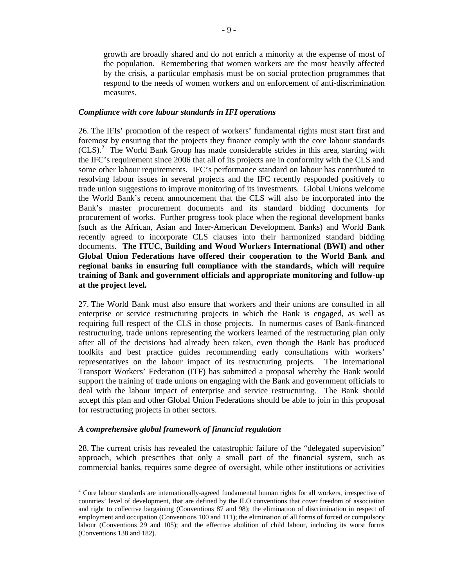growth are broadly shared and do not enrich a minority at the expense of most of the population. Remembering that women workers are the most heavily affected by the crisis, a particular emphasis must be on social protection programmes that respond to the needs of women workers and on enforcement of anti-discrimination measures.

#### *Compliance with core labour standards in IFI operations*

26. The IFIs' promotion of the respect of workers' fundamental rights must start first and foremost by ensuring that the projects they finance comply with the core labour standards (CLS).<sup>2</sup> The World Bank Group has made considerable strides in this area, starting with the IFC's requirement since 2006 that all of its projects are in conformity with the CLS and some other labour requirements. IFC's performance standard on labour has contributed to resolving labour issues in several projects and the IFC recently responded positively to trade union suggestions to improve monitoring of its investments. Global Unions welcome the World Bank's recent announcement that the CLS will also be incorporated into the Bank's master procurement documents and its standard bidding documents for procurement of works. Further progress took place when the regional development banks (such as the African, Asian and Inter-American Development Banks) and World Bank recently agreed to incorporate CLS clauses into their harmonized standard bidding documents. **The ITUC, Building and Wood Workers International (BWI) and other Global Union Federations have offered their cooperation to the World Bank and regional banks in ensuring full compliance with the standards, which will require training of Bank and government officials and appropriate monitoring and follow-up at the project level.**

27. The World Bank must also ensure that workers and their unions are consulted in all enterprise or service restructuring projects in which the Bank is engaged, as well as requiring full respect of the CLS in those projects. In numerous cases of Bank-financed restructuring, trade unions representing the workers learned of the restructuring plan only after all of the decisions had already been taken, even though the Bank has produced toolkits and best practice guides recommending early consultations with workers' representatives on the labour impact of its restructuring projects. The International Transport Workers' Federation (ITF) has submitted a proposal whereby the Bank would support the training of trade unions on engaging with the Bank and government officials to deal with the labour impact of enterprise and service restructuring. The Bank should accept this plan and other Global Union Federations should be able to join in this proposal for restructuring projects in other sectors.

# *A comprehensive global framework of financial regulation*

 $\overline{a}$ 

28. The current crisis has revealed the catastrophic failure of the "delegated supervision" approach, which prescribes that only a small part of the financial system, such as commercial banks, requires some degree of oversight, while other institutions or activities

 $2^2$  Core labour standards are internationally-agreed fundamental human rights for all workers, irrespective of countries' level of development, that are defined by the ILO conventions that cover freedom of association and right to collective bargaining (Conventions 87 and 98); the elimination of discrimination in respect of employment and occupation (Conventions 100 and 111); the elimination of all forms of forced or compulsory labour (Conventions 29 and 105); and the effective abolition of child labour, including its worst forms (Conventions 138 and 182).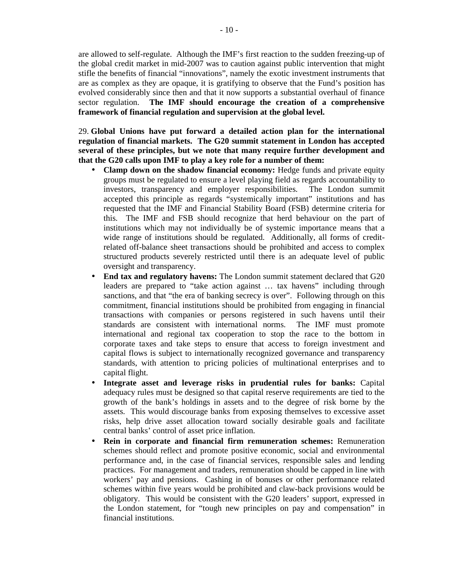are allowed to self-regulate. Although the IMF's first reaction to the sudden freezing-up of the global credit market in mid-2007 was to caution against public intervention that might stifle the benefits of financial "innovations", namely the exotic investment instruments that are as complex as they are opaque, it is gratifying to observe that the Fund's position has evolved considerably since then and that it now supports a substantial overhaul of finance sector regulation. **The IMF should encourage the creation of a comprehensive framework of financial regulation and supervision at the global level.** 

29. **Global Unions have put forward a detailed action plan for the international regulation of financial markets. The G20 summit statement in London has accepted several of these principles, but we note that many require further development and that the G20 calls upon IMF to play a key role for a number of them:**

- **Clamp down on the shadow financial economy:** Hedge funds and private equity groups must be regulated to ensure a level playing field as regards accountability to investors, transparency and employer responsibilities. The London summit accepted this principle as regards "systemically important" institutions and has requested that the IMF and Financial Stability Board (FSB) determine criteria for this. The IMF and FSB should recognize that herd behaviour on the part of institutions which may not individually be of systemic importance means that a wide range of institutions should be regulated. Additionally, all forms of creditrelated off-balance sheet transactions should be prohibited and access to complex structured products severely restricted until there is an adequate level of public oversight and transparency.
- **End tax and regulatory havens:** The London summit statement declared that G20 leaders are prepared to "take action against … tax havens" including through sanctions, and that "the era of banking secrecy is over". Following through on this commitment, financial institutions should be prohibited from engaging in financial transactions with companies or persons registered in such havens until their standards are consistent with international norms. The IMF must promote international and regional tax cooperation to stop the race to the bottom in corporate taxes and take steps to ensure that access to foreign investment and capital flows is subject to internationally recognized governance and transparency standards, with attention to pricing policies of multinational enterprises and to capital flight.
- **Integrate asset and leverage risks in prudential rules for banks:** Capital adequacy rules must be designed so that capital reserve requirements are tied to the growth of the bank's holdings in assets and to the degree of risk borne by the assets. This would discourage banks from exposing themselves to excessive asset risks, help drive asset allocation toward socially desirable goals and facilitate central banks' control of asset price inflation.
- **Rein in corporate and financial firm remuneration schemes:** Remuneration schemes should reflect and promote positive economic, social and environmental performance and, in the case of financial services, responsible sales and lending practices. For management and traders, remuneration should be capped in line with workers' pay and pensions. Cashing in of bonuses or other performance related schemes within five years would be prohibited and claw-back provisions would be obligatory. This would be consistent with the G20 leaders' support, expressed in the London statement, for "tough new principles on pay and compensation" in financial institutions.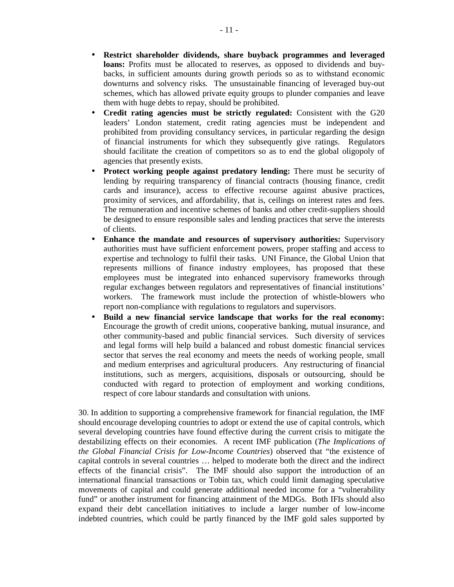- **Restrict shareholder dividends, share buyback programmes and leveraged loans:** Profits must be allocated to reserves, as opposed to dividends and buybacks, in sufficient amounts during growth periods so as to withstand economic downturns and solvency risks. The unsustainable financing of leveraged buy-out schemes, which has allowed private equity groups to plunder companies and leave them with huge debts to repay, should be prohibited.
- **Credit rating agencies must be strictly regulated:** Consistent with the G20 leaders' London statement, credit rating agencies must be independent and prohibited from providing consultancy services, in particular regarding the design of financial instruments for which they subsequently give ratings. Regulators should facilitate the creation of competitors so as to end the global oligopoly of agencies that presently exists.
- **Protect working people against predatory lending:** There must be security of lending by requiring transparency of financial contracts (housing finance, credit cards and insurance), access to effective recourse against abusive practices, proximity of services, and affordability, that is, ceilings on interest rates and fees. The remuneration and incentive schemes of banks and other credit-suppliers should be designed to ensure responsible sales and lending practices that serve the interests of clients.
- **Enhance the mandate and resources of supervisory authorities:** Supervisory authorities must have sufficient enforcement powers, proper staffing and access to expertise and technology to fulfil their tasks. UNI Finance, the Global Union that represents millions of finance industry employees, has proposed that these employees must be integrated into enhanced supervisory frameworks through regular exchanges between regulators and representatives of financial institutions' workers. The framework must include the protection of whistle-blowers who report non-compliance with regulations to regulators and supervisors.
- **Build a new financial service landscape that works for the real economy:** Encourage the growth of credit unions, cooperative banking, mutual insurance, and other community-based and public financial services. Such diversity of services and legal forms will help build a balanced and robust domestic financial services sector that serves the real economy and meets the needs of working people, small and medium enterprises and agricultural producers. Any restructuring of financial institutions, such as mergers, acquisitions, disposals or outsourcing, should be conducted with regard to protection of employment and working conditions, respect of core labour standards and consultation with unions.

30. In addition to supporting a comprehensive framework for financial regulation, the IMF should encourage developing countries to adopt or extend the use of capital controls, which several developing countries have found effective during the current crisis to mitigate the destabilizing effects on their economies. A recent IMF publication (*The Implications of the Global Financial Crisis for Low-Income Countries*) observed that "the existence of capital controls in several countries … helped to moderate both the direct and the indirect effects of the financial crisis". The IMF should also support the introduction of an international financial transactions or Tobin tax, which could limit damaging speculative movements of capital and could generate additional needed income for a "vulnerability fund" or another instrument for financing attainment of the MDGs. Both IFIs should also expand their debt cancellation initiatives to include a larger number of low-income indebted countries, which could be partly financed by the IMF gold sales supported by